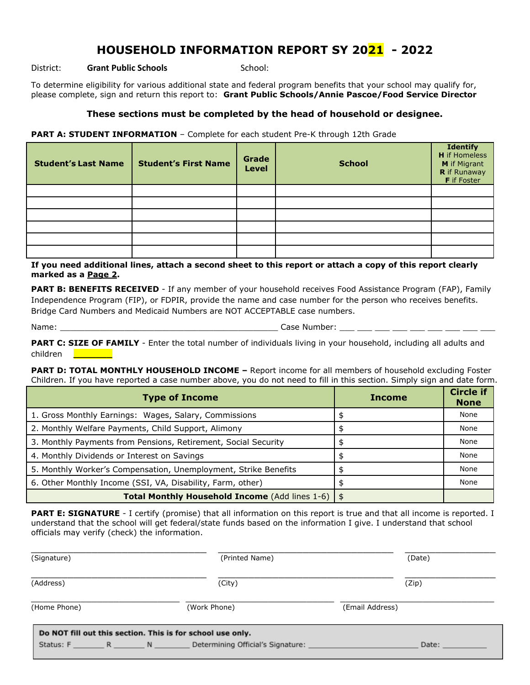## **HOUSEHOLD INFORMATION REPORT SY 2021 - 2022**

District: **Grant Public Schools** School:

To determine eligibility for various additional state and federal program benefits that your school may qualify for, please complete, sign and return this report to: **Grant Public Schools/Annie Pascoe/Food Service Director**

## **These sections must be completed by the head of household or designee.**

**PART A: STUDENT INFORMATION** - Complete for each student Pre-K through 12th Grade

| <b>Student's Last Name</b> | <b>Student's First Name</b> | Grade<br><b>Level</b> | <b>School</b> | <b>Identify</b><br><b>H</b> if Homeless<br>M if Migrant<br>R if Runaway<br>F if Foster |
|----------------------------|-----------------------------|-----------------------|---------------|----------------------------------------------------------------------------------------|
|                            |                             |                       |               |                                                                                        |
|                            |                             |                       |               |                                                                                        |
|                            |                             |                       |               |                                                                                        |
|                            |                             |                       |               |                                                                                        |
|                            |                             |                       |               |                                                                                        |
|                            |                             |                       |               |                                                                                        |

**If you need additional lines, attach a second sheet to this report or attach a copy of this report clearly marked as a Page 2.**

**PART B: BENEFITS RECEIVED** - If any member of your household receives Food Assistance Program (FAP), Family Independence Program (FIP), or FDPIR, provide the name and case number for the person who receives benefits. Bridge Card Numbers and Medicaid Numbers are NOT ACCEPTABLE case numbers.

Name: \_\_\_\_\_\_\_\_\_\_\_\_\_\_\_\_\_\_\_\_\_\_\_\_\_\_\_\_\_\_\_\_\_\_\_\_\_\_\_\_\_\_\_\_ Case Number: \_\_\_ \_\_\_ \_\_\_ \_\_\_ \_\_\_ \_\_\_ \_\_\_ \_\_\_ \_\_\_

**PART C: SIZE OF FAMILY** - Enter the total number of individuals living in your household, including all adults and children **\_\_\_\_\_\_\_**

**PART D: TOTAL MONTHLY HOUSEHOLD INCOME –** Report income for all members of household excluding Foster Children. If you have reported a case number above, you do not need to fill in this section. Simply sign and date form.

| <b>Type of Income</b>                                               | <b>Income</b> | <b>Circle if</b><br><b>None</b> |
|---------------------------------------------------------------------|---------------|---------------------------------|
| 1. Gross Monthly Earnings: Wages, Salary, Commissions               |               | None                            |
| 2. Monthly Welfare Payments, Child Support, Alimony                 |               | None                            |
| 3. Monthly Payments from Pensions, Retirement, Social Security      |               | None                            |
| 4. Monthly Dividends or Interest on Savings                         |               | None                            |
| 5. Monthly Worker's Compensation, Unemployment, Strike Benefits     |               | None                            |
| 6. Other Monthly Income (SSI, VA, Disability, Farm, other)          |               | None                            |
| <b>Total Monthly Household Income</b> (Add lines 1-6) $\frac{1}{9}$ |               |                                 |

**PART E: SIGNATURE** - I certify (promise) that all information on this report is true and that all income is reported. I understand that the school will get federal/state funds based on the information I give. I understand that school officials may verify (check) the information.

| (Signature)                                                | (Printed Name)                                  | (Date)          |
|------------------------------------------------------------|-------------------------------------------------|-----------------|
| (Address)                                                  | (City)                                          | (Zip)           |
| (Home Phone)                                               | (Work Phone)                                    | (Email Address) |
| Do NOT fill out this section. This is for school use only. | Status: F R N Determining Official's Signature: | Date:           |